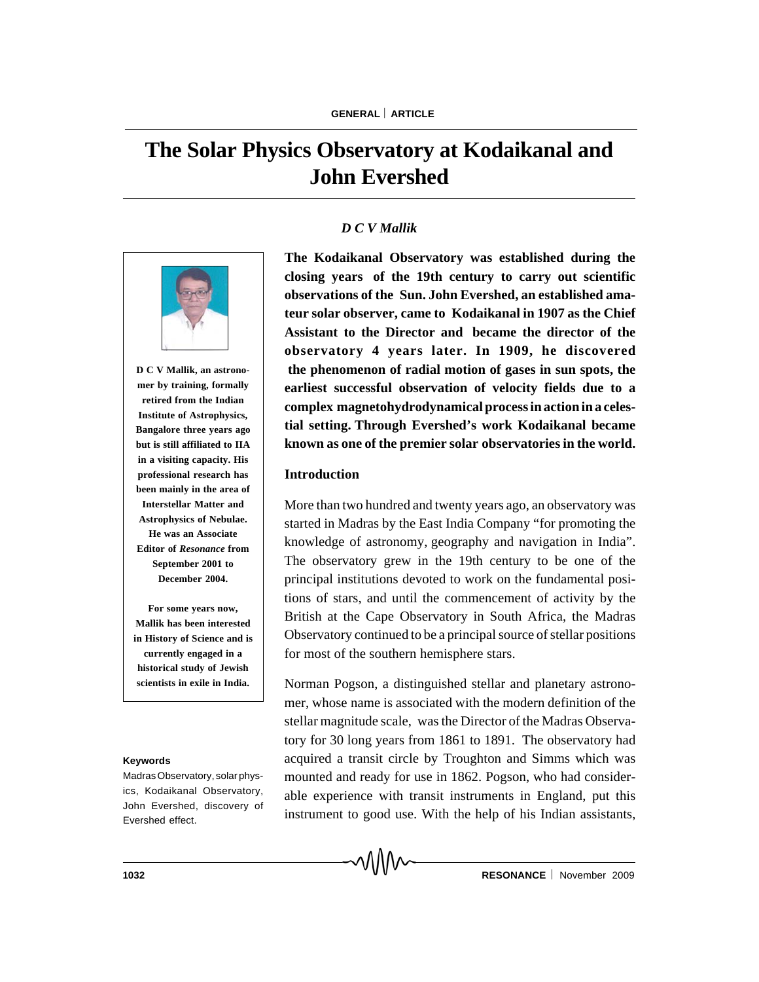# **The Solar Physics Observatory at Kodaikanal and John Evershed**



**D C V Mallik, an astronomer by training, formally retired from the Indian Institute of Astrophysics, Bangalore three years ago but is still affiliated to IIA in a visiting capacity. His professional research has been mainly in the area of Interstellar Matter and Astrophysics of Nebulae. He was an Associate Editor of** *Resonance* **from September 2001 to December 2004.**

**For some years now, Mallik has been interested in History of Science and is currently engaged in a historical study of Jewish scientists in exile in India.**

#### **Keywords**

Madras Observatory, solar physics, Kodaikanal Observatory, John Evershed, discovery of Evershed effect.

#### *D C V Mallik*

**The Kodaikanal Observatory was established during the closing years of the 19th century to carry out scientific observations of the Sun. John Evershed, an established amateur solar observer, came to Kodaikanal in 1907 as the Chief Assistant to the Director and became the director of the observatory 4 years later. In 1909, he discovered the phenomenon of radial motion of gases in sun spots, the earliest successful observation of velocity fields due to a complex magnetohydrodynamical process in action in a celestial setting. Through Evershed's work Kodaikanal became known as one of the premier solar observatories in the world.**

#### **Introduction**

More than two hundred and twenty years ago, an observatory was started in Madras by the East India Company "for promoting the knowledge of astronomy, geography and navigation in India". The observatory grew in the 19th century to be one of the principal institutions devoted to work on the fundamental positions of stars, and until the commencement of activity by the British at the Cape Observatory in South Africa, the Madras Observatory continued to be a principal source of stellar positions for most of the southern hemisphere stars.

Norman Pogson, a distinguished stellar and planetary astronomer, whose name is associated with the modern definition of the stellar magnitude scale, was the Director of the Madras Observatory for 30 long years from 1861 to 1891. The observatory had acquired a transit circle by Troughton and Simms which was mounted and ready for use in 1862. Pogson, who had considerable experience with transit instruments in England, put this instrument to good use. With the help of his Indian assistants,

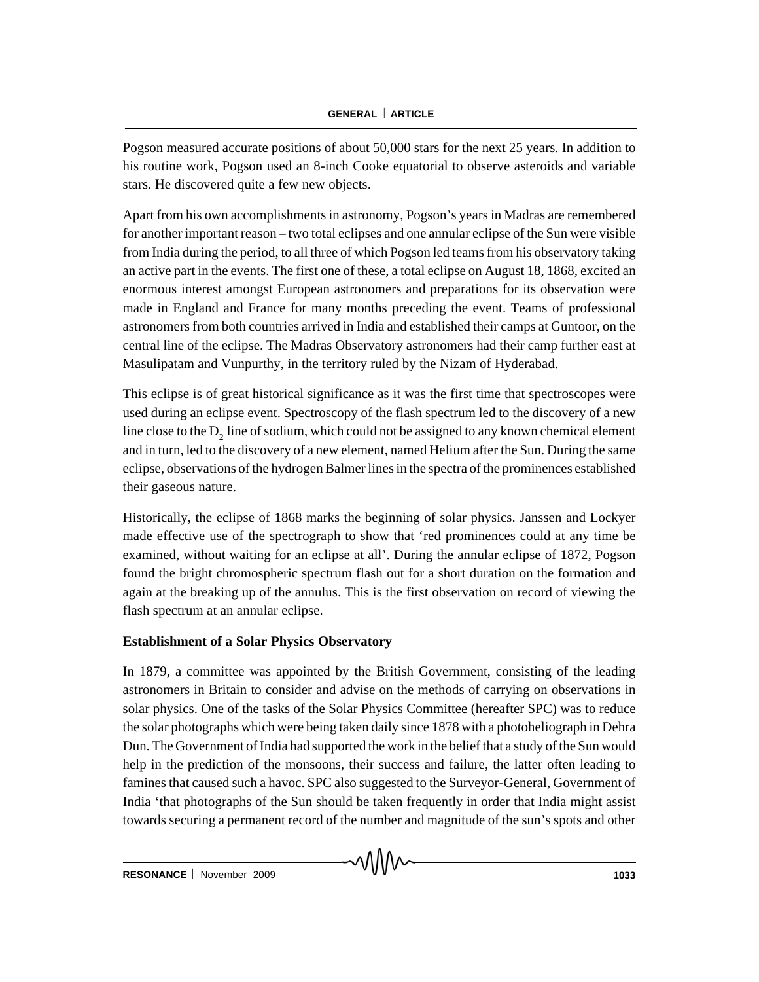Pogson measured accurate positions of about 50,000 stars for the next 25 years. In addition to his routine work, Pogson used an 8-inch Cooke equatorial to observe asteroids and variable stars. He discovered quite a few new objects.

Apart from his own accomplishments in astronomy, Pogson's years in Madras are remembered for another important reason – two total eclipses and one annular eclipse of the Sun were visible from India during the period, to all three of which Pogson led teams from his observatory taking an active part in the events. The first one of these, a total eclipse on August 18, 1868, excited an enormous interest amongst European astronomers and preparations for its observation were made in England and France for many months preceding the event. Teams of professional astronomers from both countries arrived in India and established their camps at Guntoor, on the central line of the eclipse. The Madras Observatory astronomers had their camp further east at Masulipatam and Vunpurthy, in the territory ruled by the Nizam of Hyderabad.

This eclipse is of great historical significance as it was the first time that spectroscopes were used during an eclipse event. Spectroscopy of the flash spectrum led to the discovery of a new line close to the  $D<sub>2</sub>$  line of sodium, which could not be assigned to any known chemical element and in turn, led to the discovery of a new element, named Helium after the Sun. During the same eclipse, observations of the hydrogen Balmer lines in the spectra of the prominences established their gaseous nature.

Historically, the eclipse of 1868 marks the beginning of solar physics. Janssen and Lockyer made effective use of the spectrograph to show that 'red prominences could at any time be examined, without waiting for an eclipse at all'. During the annular eclipse of 1872, Pogson found the bright chromospheric spectrum flash out for a short duration on the formation and again at the breaking up of the annulus. This is the first observation on record of viewing the flash spectrum at an annular eclipse.

# **Establishment of a Solar Physics Observatory**

In 1879, a committee was appointed by the British Government, consisting of the leading astronomers in Britain to consider and advise on the methods of carrying on observations in solar physics. One of the tasks of the Solar Physics Committee (hereafter SPC) was to reduce the solar photographs which were being taken daily since 1878 with a photoheliograph in Dehra Dun. The Government of India had supported the work in the belief that a study of the Sun would help in the prediction of the monsoons, their success and failure, the latter often leading to famines that caused such a havoc. SPC also suggested to the Surveyor-General, Government of India 'that photographs of the Sun should be taken frequently in order that India might assist towards securing a permanent record of the number and magnitude of the sun's spots and other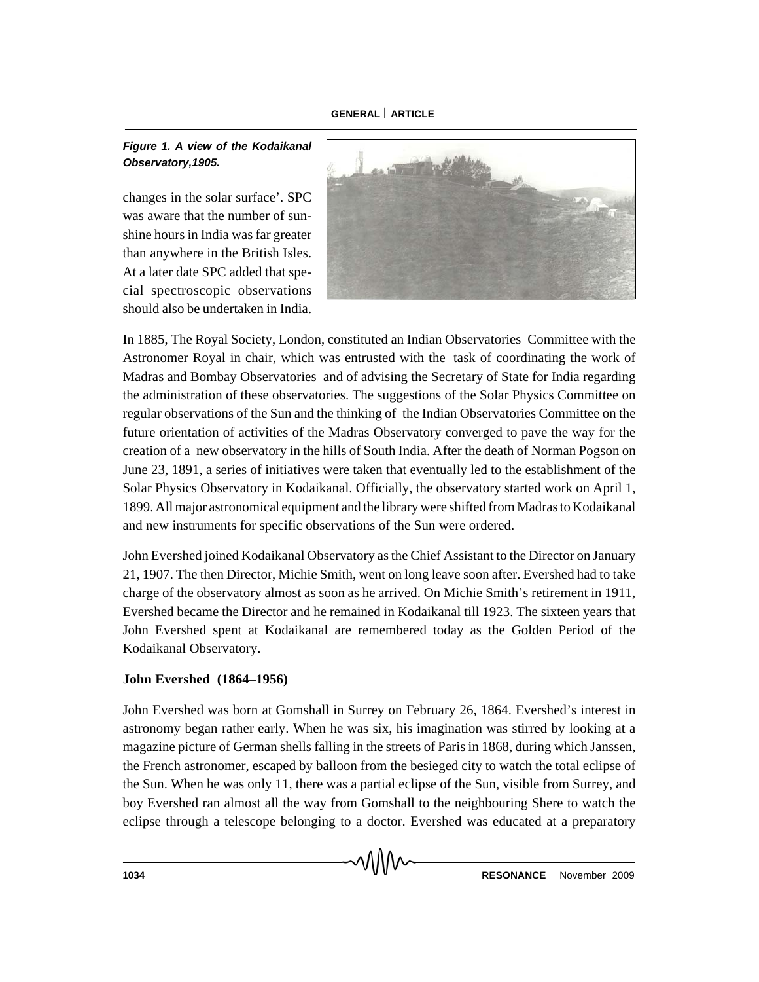# *Figure 1. A view of the Kodaikanal Observatory,1905.*

changes in the solar surface'. SPC was aware that the number of sunshine hours in India was far greater than anywhere in the British Isles. At a later date SPC added that special spectroscopic observations should also be undertaken in India.



In 1885, The Royal Society, London, constituted an Indian Observatories Committee with the Astronomer Royal in chair, which was entrusted with the task of coordinating the work of Madras and Bombay Observatories and of advising the Secretary of State for India regarding the administration of these observatories. The suggestions of the Solar Physics Committee on regular observations of the Sun and the thinking of the Indian Observatories Committee on the future orientation of activities of the Madras Observatory converged to pave the way for the creation of a new observatory in the hills of South India. After the death of Norman Pogson on June 23, 1891, a series of initiatives were taken that eventually led to the establishment of the Solar Physics Observatory in Kodaikanal. Officially, the observatory started work on April 1, 1899. All major astronomical equipment and the library were shifted from Madras to Kodaikanal and new instruments for specific observations of the Sun were ordered.

John Evershed joined Kodaikanal Observatory as the Chief Assistant to the Director on January 21, 1907. The then Director, Michie Smith, went on long leave soon after. Evershed had to take charge of the observatory almost as soon as he arrived. On Michie Smith's retirement in 1911, Evershed became the Director and he remained in Kodaikanal till 1923. The sixteen years that John Evershed spent at Kodaikanal are remembered today as the Golden Period of the Kodaikanal Observatory.

# **John Evershed (1864–1956)**

John Evershed was born at Gomshall in Surrey on February 26, 1864. Evershed's interest in astronomy began rather early. When he was six, his imagination was stirred by looking at a magazine picture of German shells falling in the streets of Paris in 1868, during which Janssen, the French astronomer, escaped by balloon from the besieged city to watch the total eclipse of the Sun. When he was only 11, there was a partial eclipse of the Sun, visible from Surrey, and boy Evershed ran almost all the way from Gomshall to the neighbouring Shere to watch the eclipse through a telescope belonging to a doctor. Evershed was educated at a preparatory

៱៱៲៶៱៷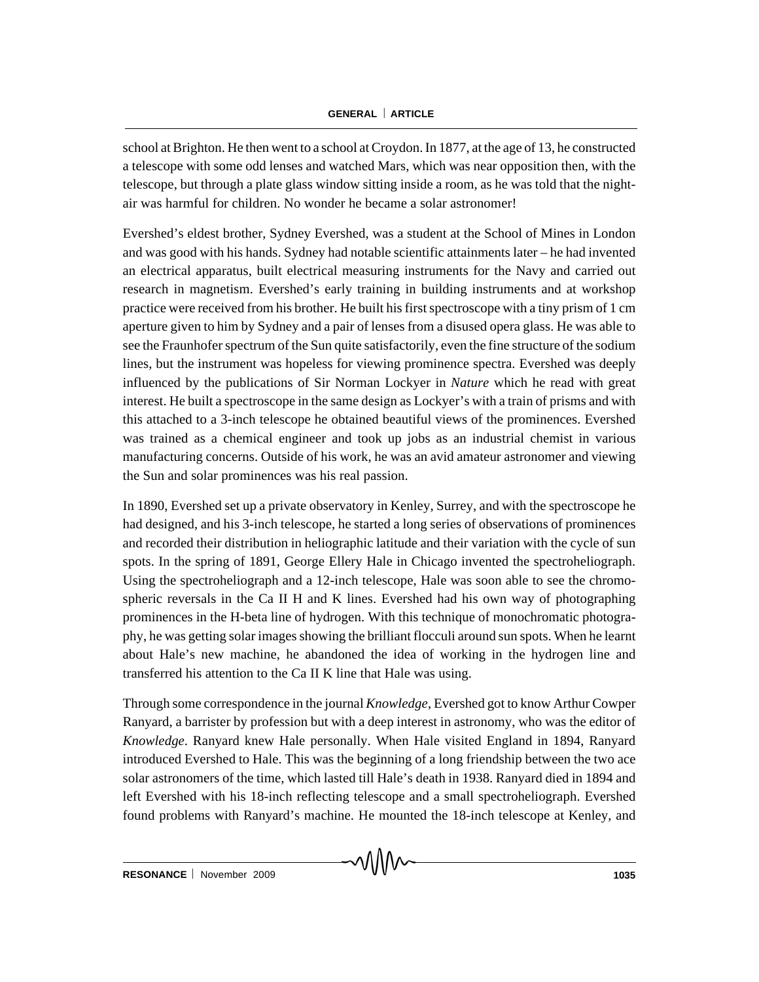school at Brighton. He then went to a school at Croydon. In 1877, at the age of 13, he constructed a telescope with some odd lenses and watched Mars, which was near opposition then, with the telescope, but through a plate glass window sitting inside a room, as he was told that the nightair was harmful for children. No wonder he became a solar astronomer!

Evershed's eldest brother, Sydney Evershed, was a student at the School of Mines in London and was good with his hands. Sydney had notable scientific attainments later – he had invented an electrical apparatus, built electrical measuring instruments for the Navy and carried out research in magnetism. Evershed's early training in building instruments and at workshop practice were received from his brother. He built his first spectroscope with a tiny prism of 1 cm aperture given to him by Sydney and a pair of lenses from a disused opera glass. He was able to see the Fraunhofer spectrum of the Sun quite satisfactorily, even the fine structure of the sodium lines, but the instrument was hopeless for viewing prominence spectra. Evershed was deeply influenced by the publications of Sir Norman Lockyer in *Nature* which he read with great interest. He built a spectroscope in the same design as Lockyer's with a train of prisms and with this attached to a 3-inch telescope he obtained beautiful views of the prominences. Evershed was trained as a chemical engineer and took up jobs as an industrial chemist in various manufacturing concerns. Outside of his work, he was an avid amateur astronomer and viewing the Sun and solar prominences was his real passion.

In 1890, Evershed set up a private observatory in Kenley, Surrey, and with the spectroscope he had designed, and his 3-inch telescope, he started a long series of observations of prominences and recorded their distribution in heliographic latitude and their variation with the cycle of sun spots. In the spring of 1891, George Ellery Hale in Chicago invented the spectroheliograph. Using the spectroheliograph and a 12-inch telescope, Hale was soon able to see the chromospheric reversals in the Ca II H and K lines. Evershed had his own way of photographing prominences in the H-beta line of hydrogen. With this technique of monochromatic photography, he was getting solar images showing the brilliant flocculi around sun spots. When he learnt about Hale's new machine, he abandoned the idea of working in the hydrogen line and transferred his attention to the Ca II K line that Hale was using.

Through some correspondence in the journal *Knowledge*, Evershed got to know Arthur Cowper Ranyard, a barrister by profession but with a deep interest in astronomy, who was the editor of *Knowledge*. Ranyard knew Hale personally. When Hale visited England in 1894, Ranyard introduced Evershed to Hale. This was the beginning of a long friendship between the two ace solar astronomers of the time, which lasted till Hale's death in 1938. Ranyard died in 1894 and left Evershed with his 18-inch reflecting telescope and a small spectroheliograph. Evershed found problems with Ranyard's machine. He mounted the 18-inch telescope at Kenley, and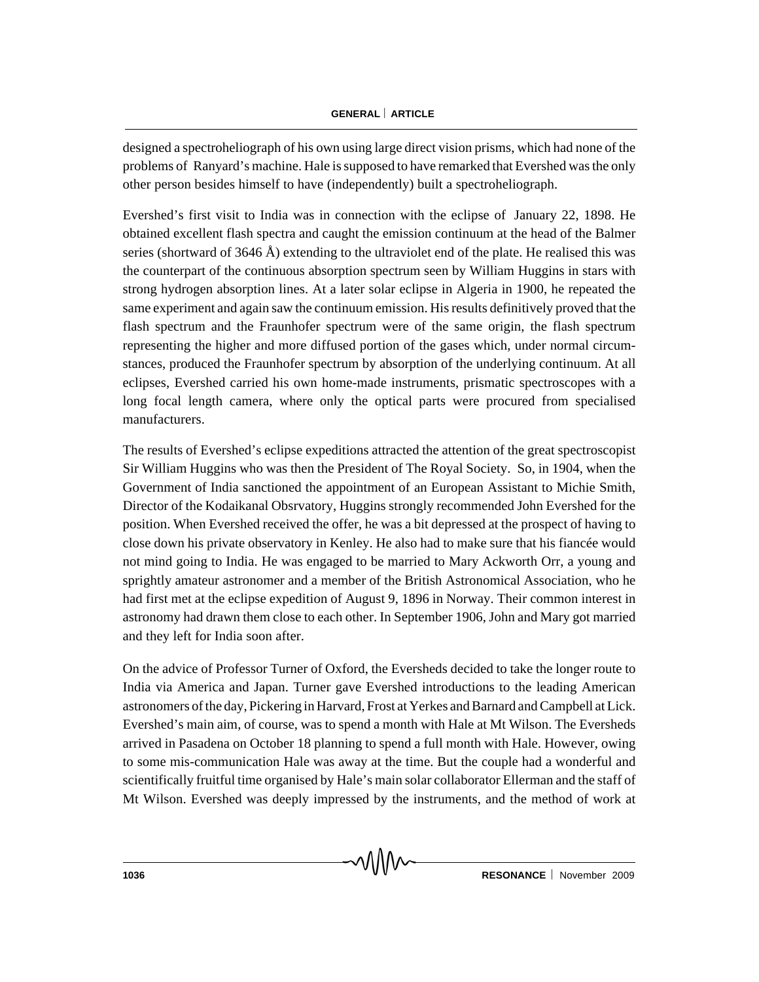designed a spectroheliograph of his own using large direct vision prisms, which had none of the problems of Ranyard's machine. Hale is supposed to have remarked that Evershed was the only other person besides himself to have (independently) built a spectroheliograph.

Evershed's first visit to India was in connection with the eclipse of January 22, 1898. He obtained excellent flash spectra and caught the emission continuum at the head of the Balmer series (shortward of 3646 Å) extending to the ultraviolet end of the plate. He realised this was the counterpart of the continuous absorption spectrum seen by William Huggins in stars with strong hydrogen absorption lines. At a later solar eclipse in Algeria in 1900, he repeated the same experiment and again saw the continuum emission. His results definitively proved that the flash spectrum and the Fraunhofer spectrum were of the same origin, the flash spectrum representing the higher and more diffused portion of the gases which, under normal circumstances, produced the Fraunhofer spectrum by absorption of the underlying continuum. At all eclipses, Evershed carried his own home-made instruments, prismatic spectroscopes with a long focal length camera, where only the optical parts were procured from specialised manufacturers.

The results of Evershed's eclipse expeditions attracted the attention of the great spectroscopist Sir William Huggins who was then the President of The Royal Society. So, in 1904, when the Government of India sanctioned the appointment of an European Assistant to Michie Smith, Director of the Kodaikanal Obsrvatory, Huggins strongly recommended John Evershed for the position. When Evershed received the offer, he was a bit depressed at the prospect of having to close down his private observatory in Kenley. He also had to make sure that his fiancée would not mind going to India. He was engaged to be married to Mary Ackworth Orr, a young and sprightly amateur astronomer and a member of the British Astronomical Association, who he had first met at the eclipse expedition of August 9, 1896 in Norway. Their common interest in astronomy had drawn them close to each other. In September 1906, John and Mary got married and they left for India soon after.

On the advice of Professor Turner of Oxford, the Eversheds decided to take the longer route to India via America and Japan. Turner gave Evershed introductions to the leading American astronomers of the day, Pickering in Harvard, Frost at Yerkes and Barnard and Campbell at Lick. Evershed's main aim, of course, was to spend a month with Hale at Mt Wilson. The Eversheds arrived in Pasadena on October 18 planning to spend a full month with Hale. However, owing to some mis-communication Hale was away at the time. But the couple had a wonderful and scientifically fruitful time organised by Hale's main solar collaborator Ellerman and the staff of Mt Wilson. Evershed was deeply impressed by the instruments, and the method of work at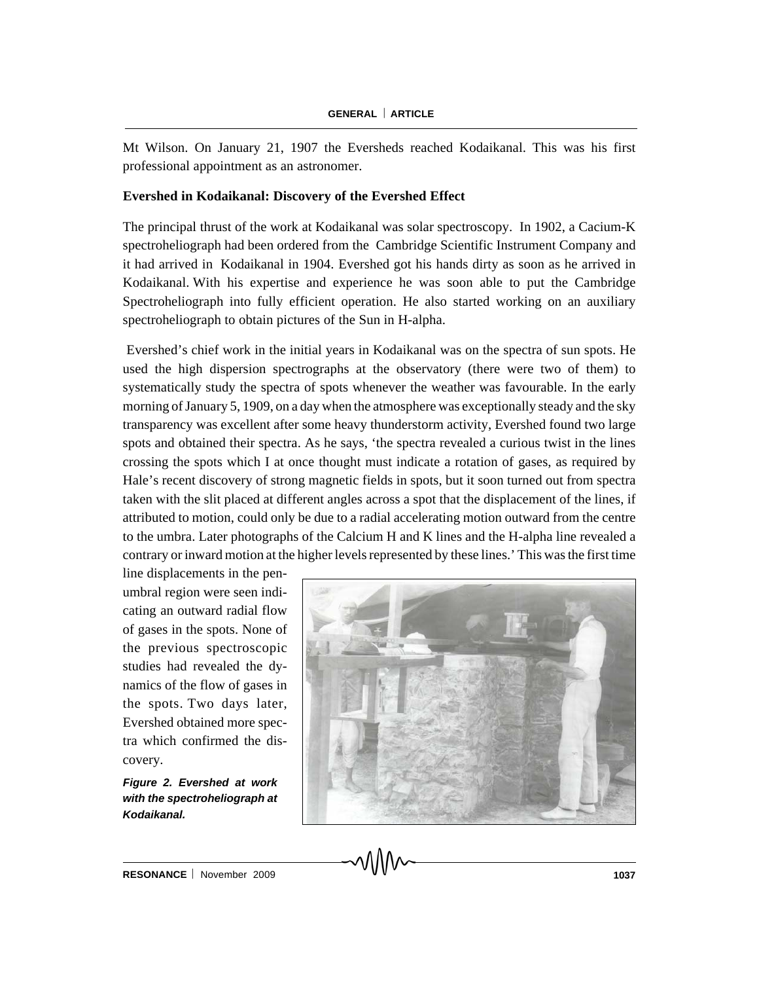Mt Wilson. On January 21, 1907 the Eversheds reached Kodaikanal. This was his first professional appointment as an astronomer.

# **Evershed in Kodaikanal: Discovery of the Evershed Effect**

The principal thrust of the work at Kodaikanal was solar spectroscopy. In 1902, a Cacium-K spectroheliograph had been ordered from the Cambridge Scientific Instrument Company and it had arrived in Kodaikanal in 1904. Evershed got his hands dirty as soon as he arrived in Kodaikanal. With his expertise and experience he was soon able to put the Cambridge Spectroheliograph into fully efficient operation. He also started working on an auxiliary spectroheliograph to obtain pictures of the Sun in H-alpha.

 Evershed's chief work in the initial years in Kodaikanal was on the spectra of sun spots. He used the high dispersion spectrographs at the observatory (there were two of them) to systematically study the spectra of spots whenever the weather was favourable. In the early morning of January 5, 1909, on a day when the atmosphere was exceptionally steady and the sky transparency was excellent after some heavy thunderstorm activity, Evershed found two large spots and obtained their spectra. As he says, 'the spectra revealed a curious twist in the lines crossing the spots which I at once thought must indicate a rotation of gases, as required by Hale's recent discovery of strong magnetic fields in spots, but it soon turned out from spectra taken with the slit placed at different angles across a spot that the displacement of the lines, if attributed to motion, could only be due to a radial accelerating motion outward from the centre to the umbra. Later photographs of the Calcium H and K lines and the H-alpha line revealed a contrary or inward motion at the higher levels represented by these lines.' This was the first time

line displacements in the penumbral region were seen indicating an outward radial flow of gases in the spots. None of the previous spectroscopic studies had revealed the dynamics of the flow of gases in the spots. Two days later, Evershed obtained more spectra which confirmed the discovery.

*Figure 2. Evershed at work with the spectroheliograph at Kodaikanal.*

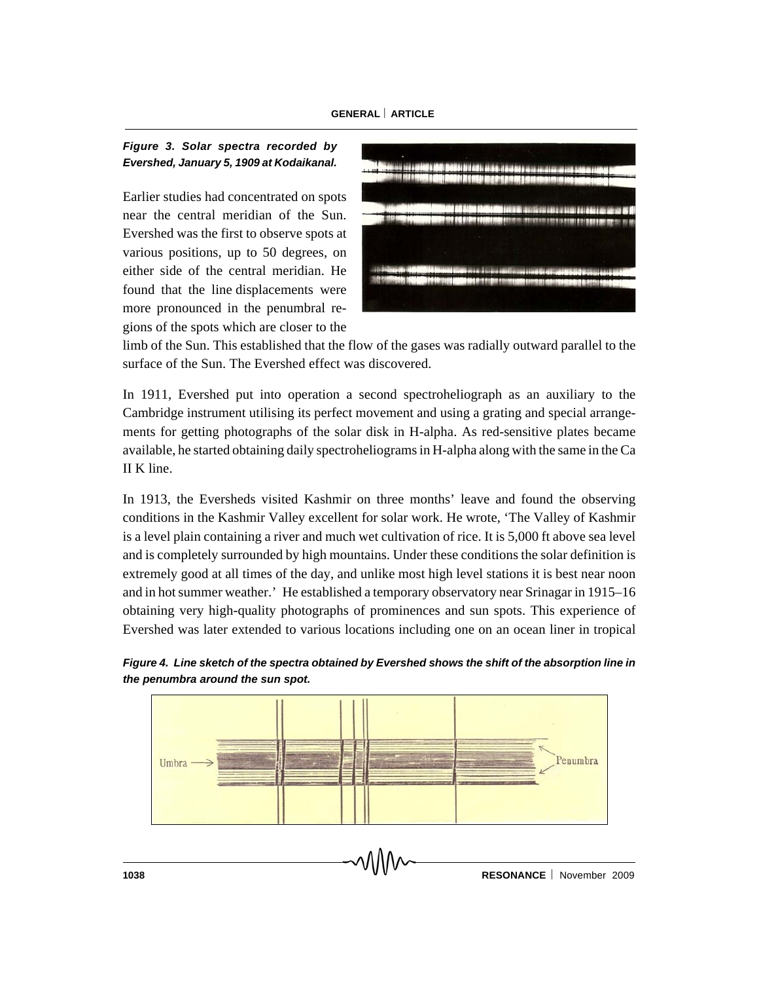# *Figure 3. Solar spectra recorded by Evershed, January 5, 1909 at Kodaikanal.*

Earlier studies had concentrated on spots near the central meridian of the Sun. Evershed was the first to observe spots at various positions, up to 50 degrees, on either side of the central meridian. He found that the line displacements were more pronounced in the penumbral regions of the spots which are closer to the



limb of the Sun. This established that the flow of the gases was radially outward parallel to the surface of the Sun. The Evershed effect was discovered.

In 1911, Evershed put into operation a second spectroheliograph as an auxiliary to the Cambridge instrument utilising its perfect movement and using a grating and special arrangements for getting photographs of the solar disk in H-alpha. As red-sensitive plates became available, he started obtaining daily spectroheliograms in H-alpha along with the same in the Ca II K line.

In 1913, the Eversheds visited Kashmir on three months' leave and found the observing conditions in the Kashmir Valley excellent for solar work. He wrote, 'The Valley of Kashmir is a level plain containing a river and much wet cultivation of rice. It is 5,000 ft above sea level and is completely surrounded by high mountains. Under these conditions the solar definition is extremely good at all times of the day, and unlike most high level stations it is best near noon and in hot summer weather.' He established a temporary observatory near Srinagar in 1915–16 obtaining very high-quality photographs of prominences and sun spots. This experience of Evershed was later extended to various locations including one on an ocean liner in tropical